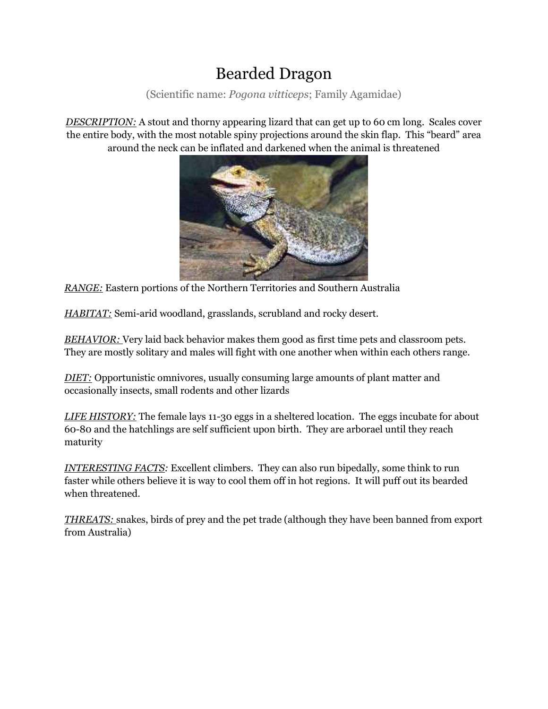## Bearded Dragon

(Scientific name: *Pogona vitticeps*; Family Agamidae)

*DESCRIPTION:* A stout and thorny appearing lizard that can get up to 60 cm long. Scales cover the entire body, with the most notable spiny projections around the skin flap. This "beard" area around the neck can be inflated and darkened when the animal is threatened



*RANGE:* Eastern portions of the Northern Territories and Southern Australia

*HABITAT:* Semi-arid woodland, grasslands, scrubland and rocky desert.

*BEHAVIOR:* Very laid back behavior makes them good as first time pets and classroom pets. They are mostly solitary and males will fight with one another when within each others range.

*DIET:* Opportunistic omnivores, usually consuming large amounts of plant matter and occasionally insects, small rodents and other lizards

*LIFE HISTORY:* The female lays 11-30 eggs in a sheltered location. The eggs incubate for about 60-80 and the hatchlings are self sufficient upon birth. They are arborael until they reach maturity

*INTERESTING FACTS:* Excellent climbers. They can also run bipedally, some think to run faster while others believe it is way to cool them off in hot regions. It will puff out its bearded when threatened.

*THREATS:* snakes, birds of prey and the pet trade (although they have been banned from export from Australia)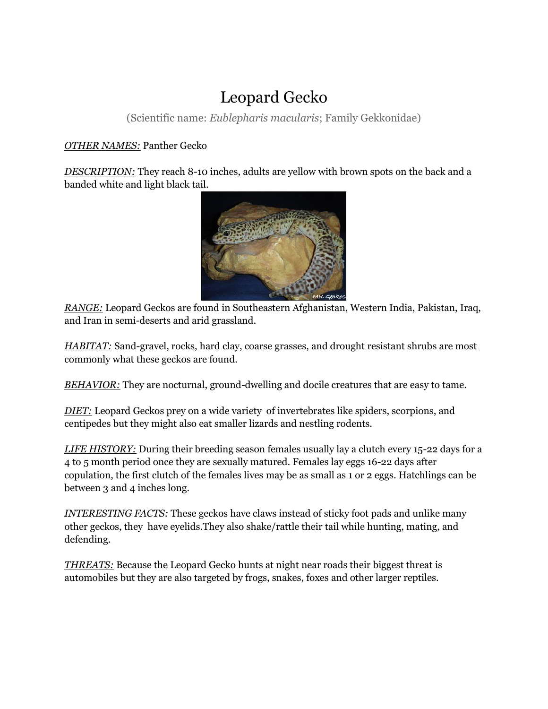### Leopard Gecko

(Scientific name: *Eublepharis macularis*; Family Gekkonidae)

### *OTHER NAMES:* Panther Gecko

*DESCRIPTION:* They reach 8-10 inches, adults are yellow with brown spots on the back and a banded white and light black tail.



*RANGE:* Leopard Geckos are found in Southeastern Afghanistan, Western India, Pakistan, Iraq, and Iran in semi-deserts and arid grassland.

*HABITAT:* Sand-gravel, rocks, hard clay, coarse grasses, and drought resistant shrubs are most commonly what these geckos are found.

*BEHAVIOR:* They are nocturnal, ground-dwelling and docile creatures that are easy to tame.

*DIET:* Leopard Geckos prey on a wide variety of invertebrates like spiders, scorpions, and centipedes but they might also eat smaller lizards and nestling rodents.

*LIFE HISTORY:* During their breeding season females usually lay a clutch every 15-22 days for a 4 to 5 month period once they are sexually matured. Females lay eggs 16-22 days after copulation, the first clutch of the females lives may be as small as 1 or 2 eggs. Hatchlings can be between 3 and 4 inches long.

*INTERESTING FACTS:* These geckos have claws instead of sticky foot pads and unlike many other geckos, they have eyelids.They also shake/rattle their tail while hunting, mating, and defending.

*THREATS:* Because the Leopard Gecko hunts at night near roads their biggest threat is automobiles but they are also targeted by frogs, snakes, foxes and other larger reptiles.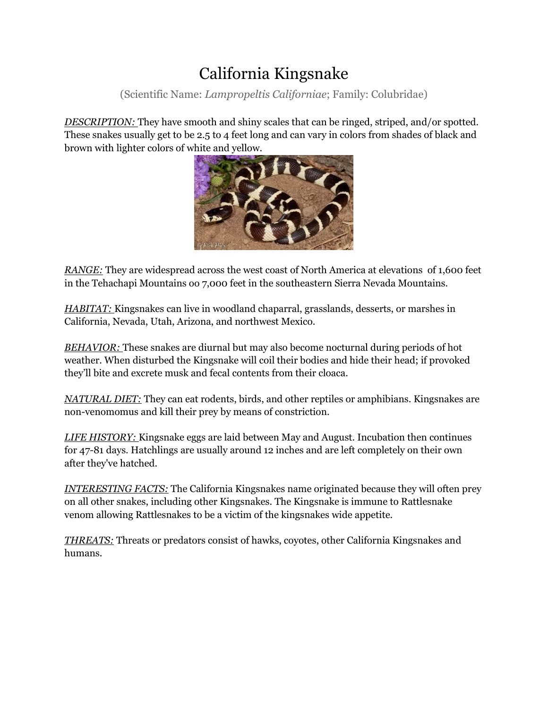# California Kingsnake

(Scientific Name: *Lampropeltis Californiae*; Family: Colubridae)

*DESCRIPTION:* They have smooth and shiny scales that can be ringed, striped, and/or spotted. These snakes usually get to be 2.5 to 4 feet long and can vary in colors from shades of black and brown with lighter colors of white and yellow.



*RANGE:* They are widespread across the west coast of North America at elevations of 1,600 feet in the Tehachapi Mountains oo 7,000 feet in the southeastern Sierra Nevada Mountains.

*HABITAT:* Kingsnakes can live in woodland chaparral, grasslands, desserts, or marshes in California, Nevada, Utah, Arizona, and northwest Mexico.

*BEHAVIOR:* These snakes are diurnal but may also become nocturnal during periods of hot weather. When disturbed the Kingsnake will coil their bodies and hide their head; if provoked they'll bite and excrete musk and fecal contents from their cloaca.

*NATURAL DIET:* They can eat rodents, birds, and other reptiles or amphibians. Kingsnakes are non-venomomus and kill their prey by means of constriction.

*LIFE HISTORY:* Kingsnake eggs are laid between May and August. Incubation then continues for 47-81 days. Hatchlings are usually around 12 inches and are left completely on their own after they've hatched.

*INTERESTING FACTS:* The California Kingsnakes name originated because they will often prey on all other snakes, including other Kingsnakes. The Kingsnake is immune to Rattlesnake venom allowing Rattlesnakes to be a victim of the kingsnakes wide appetite.

*THREATS:* Threats or predators consist of hawks, coyotes, other California Kingsnakes and humans.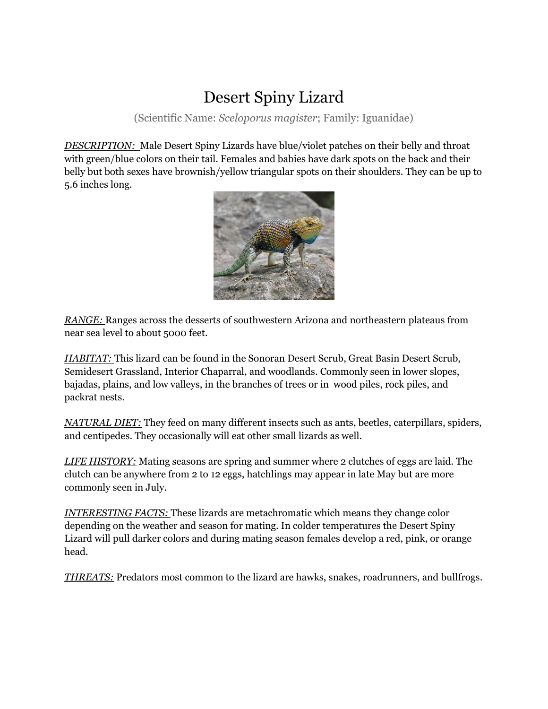## Desert Spiny Lizard

(Scientific Name: *Sceloporus magister*; Family: Iguanidae)

*DESCRIPTION:* Male Desert Spiny Lizards have blue/violet patches on their belly and throat with green/blue colors on their tail. Females and babies have dark spots on the back and their belly but both sexes have brownish/yellow triangular spots on their shoulders. They can be up to 5.6 inches long.



*RANGE:* Ranges across the desserts of southwestern Arizona and northeastern plateaus from near sea level to about 5000 feet.

*HABITAT:* This lizard can be found in the Sonoran Desert Scrub, Great Basin Desert Scrub, Semidesert Grassland, Interior Chaparral, and woodlands. Commonly seen in lower slopes, bajadas, plains, and low valleys, in the branches of trees or in wood piles, rock piles, and packrat nests.

*NATURAL DIET:* They feed on many different insects such as ants, beetles, caterpillars, spiders, and centipedes. They occasionally will eat other small lizards as well.

*LIFE HISTORY:* Mating seasons are spring and summer where 2 clutches of eggs are laid. The clutch can be anywhere from 2 to 12 eggs, hatchlings may appear in late May but are more commonly seen in July.

*INTERESTING FACTS:* These lizards are metachromatic which means they change color depending on the weather and season for mating. In colder temperatures the Desert Spiny Lizard will pull darker colors and during mating season females develop a red, pink, or orange head.

*THREATS:* Predators most common to the lizard are hawks, snakes, roadrunners, and bullfrogs.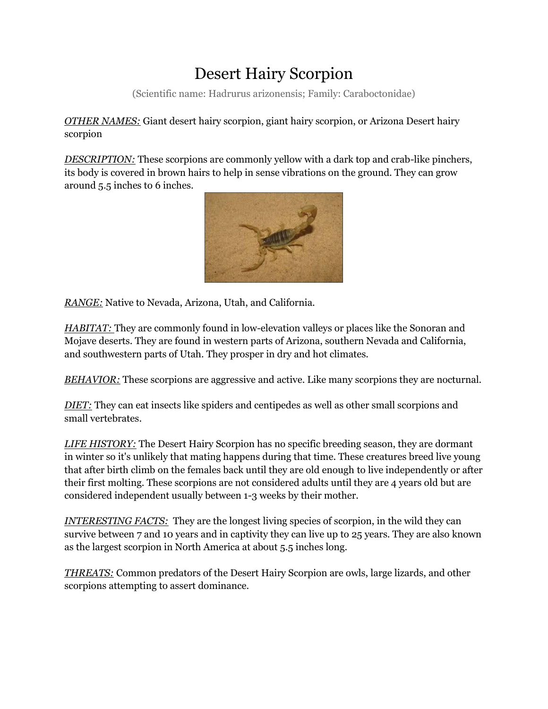## Desert Hairy Scorpion

(Scientific name: Hadrurus arizonensis; Family: Caraboctonidae)

*OTHER NAMES:* Giant desert hairy scorpion, giant hairy scorpion, or Arizona Desert hairy scorpion

*DESCRIPTION:* These scorpions are commonly yellow with a dark top and crab-like pinchers, its body is covered in brown hairs to help in sense vibrations on the ground. They can grow around 5.5 inches to 6 inches.



*RANGE:* Native to Nevada, Arizona, Utah, and California.

*HABITAT:* They are commonly found in low-elevation valleys or places like the Sonoran and Mojave deserts. They are found in western parts of Arizona, southern Nevada and California, and southwestern parts of Utah. They prosper in dry and hot climates.

*BEHAVIOR:* These scorpions are aggressive and active. Like many scorpions they are nocturnal.

*DIET:* They can eat insects like spiders and centipedes as well as other small scorpions and small vertebrates.

*LIFE HISTORY:* The Desert Hairy Scorpion has no specific breeding season, they are dormant in winter so it's unlikely that mating happens during that time. These creatures breed live young that after birth climb on the females back until they are old enough to live independently or after their first molting. These scorpions are not considered adults until they are 4 years old but are considered independent usually between 1-3 weeks by their mother.

*INTERESTING FACTS:* They are the longest living species of scorpion, in the wild they can survive between 7 and 10 years and in captivity they can live up to 25 years. They are also known as the largest scorpion in North America at about 5.5 inches long.

*THREATS:* Common predators of the Desert Hairy Scorpion are owls, large lizards, and other scorpions attempting to assert dominance.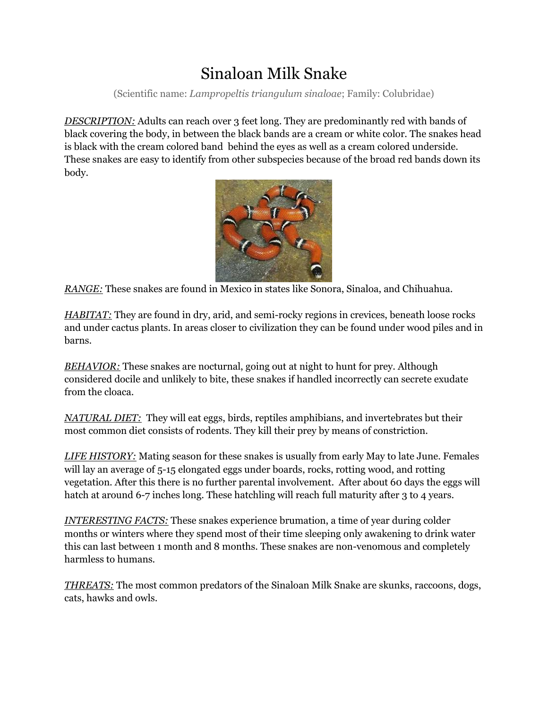# Sinaloan Milk Snake

(Scientific name: *Lampropeltis triangulum sinaloae*; Family: Colubridae)

*DESCRIPTION:* Adults can reach over 3 feet long. They are predominantly red with bands of black covering the body, in between the black bands are a cream or white color. The snakes head is black with the cream colored band behind the eyes as well as a cream colored underside. These snakes are easy to identify from other subspecies because of the broad red bands down its body.



*RANGE:* These snakes are found in Mexico in states like Sonora, Sinaloa, and Chihuahua.

*HABITAT:* They are found in dry, arid, and semi-rocky regions in crevices, beneath loose rocks and under cactus plants. In areas closer to civilization they can be found under wood piles and in barns.

*BEHAVIOR:* These snakes are nocturnal, going out at night to hunt for prey. Although considered docile and unlikely to bite, these snakes if handled incorrectly can secrete exudate from the cloaca.

*NATURAL DIET:* They will eat eggs, birds, reptiles amphibians, and invertebrates but their most common diet consists of rodents. They kill their prey by means of constriction.

*LIFE HISTORY:* Mating season for these snakes is usually from early May to late June. Females will lay an average of 5-15 elongated eggs under boards, rocks, rotting wood, and rotting vegetation. After this there is no further parental involvement. After about 60 days the eggs will hatch at around 6-7 inches long. These hatchling will reach full maturity after 3 to 4 years.

*INTERESTING FACTS:* These snakes experience brumation, a time of year during colder months or winters where they spend most of their time sleeping only awakening to drink water this can last between 1 month and 8 months. These snakes are non-venomous and completely harmless to humans.

*THREATS:* The most common predators of the Sinaloan Milk Snake are skunks, raccoons, dogs, cats, hawks and owls.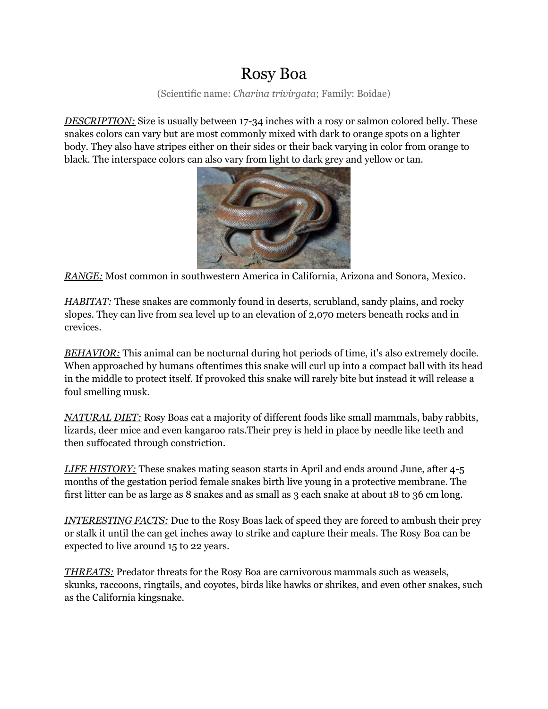### Rosy Boa

(Scientific name: *Charina trivirgata*; Family: Boidae)

*DESCRIPTION:* Size is usually between 17-34 inches with a rosy or salmon colored belly. These snakes colors can vary but are most commonly mixed with dark to orange spots on a lighter body. They also have stripes either on their sides or their back varying in color from orange to black. The interspace colors can also vary from light to dark grey and yellow or tan.



*RANGE:* Most common in southwestern America in California, Arizona and Sonora, Mexico.

*HABITAT:* These snakes are commonly found in deserts, scrubland, sandy plains, and rocky slopes. They can live from sea level up to an elevation of 2,070 meters beneath rocks and in crevices.

*BEHAVIOR:* This animal can be nocturnal during hot periods of time, it's also extremely docile. When approached by humans oftentimes this snake will curl up into a compact ball with its head in the middle to protect itself. If provoked this snake will rarely bite but instead it will release a foul smelling musk.

*NATURAL DIET:* Rosy Boas eat a majority of different foods like small mammals, baby rabbits, lizards, deer mice and even kangaroo rats.Their prey is held in place by needle like teeth and then suffocated through constriction.

*LIFE HISTORY:* These snakes mating season starts in April and ends around June, after 4-5 months of the gestation period female snakes birth live young in a protective membrane. The first litter can be as large as 8 snakes and as small as 3 each snake at about 18 to 36 cm long.

*INTERESTING FACTS:* Due to the Rosy Boas lack of speed they are forced to ambush their prey or stalk it until the can get inches away to strike and capture their meals. The Rosy Boa can be expected to live around 15 to 22 years.

*THREATS:* Predator threats for the Rosy Boa are carnivorous mammals such as weasels, skunks, raccoons, ringtails, and coyotes, birds like hawks or shrikes, and even other snakes, such as the California kingsnake.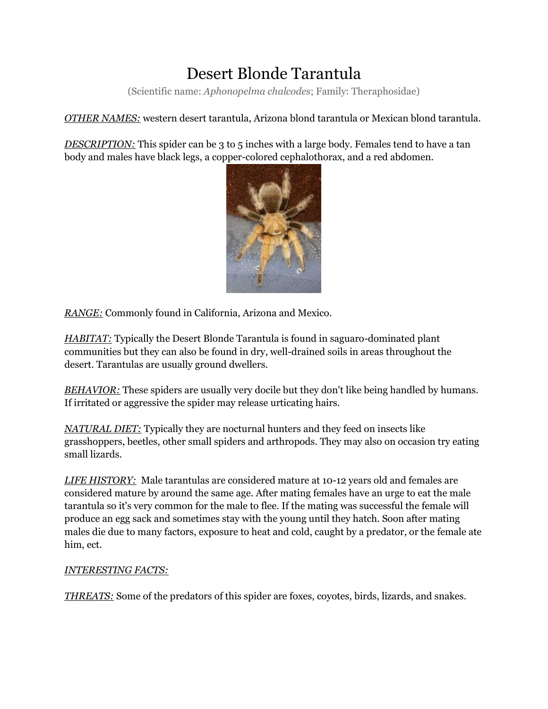# Desert Blonde Tarantula

(Scientific name: *Aphonopelma chalcodes*; Family: Theraphosidae)

*OTHER NAMES:* western desert tarantula, Arizona blond tarantula or Mexican blond tarantula.

*DESCRIPTION:* This spider can be 3 to 5 inches with a large body. Females tend to have a tan body and males have black legs, a copper-colored cephalothorax, and a red abdomen.



*RANGE:* Commonly found in California, Arizona and Mexico.

*HABITAT:* Typically the Desert Blonde Tarantula is found in saguaro-dominated plant communities but they can also be found in dry, well-drained soils in areas throughout the desert. Tarantulas are usually ground dwellers.

*BEHAVIOR:* These spiders are usually very docile but they don't like being handled by humans. If irritated or aggressive the spider may release urticating hairs.

*NATURAL DIET:* Typically they are nocturnal hunters and they feed on insects like grasshoppers, beetles, other small spiders and arthropods. They may also on occasion try eating small lizards.

*LIFE HISTORY:* Male tarantulas are considered mature at 10-12 years old and females are considered mature by around the same age. After mating females have an urge to eat the male tarantula so it's very common for the male to flee. If the mating was successful the female will produce an egg sack and sometimes stay with the young until they hatch. Soon after mating males die due to many factors, exposure to heat and cold, caught by a predator, or the female ate him, ect.

### *INTERESTING FACTS:*

*THREATS:* Some of the predators of this spider are foxes, coyotes, birds, lizards, and snakes.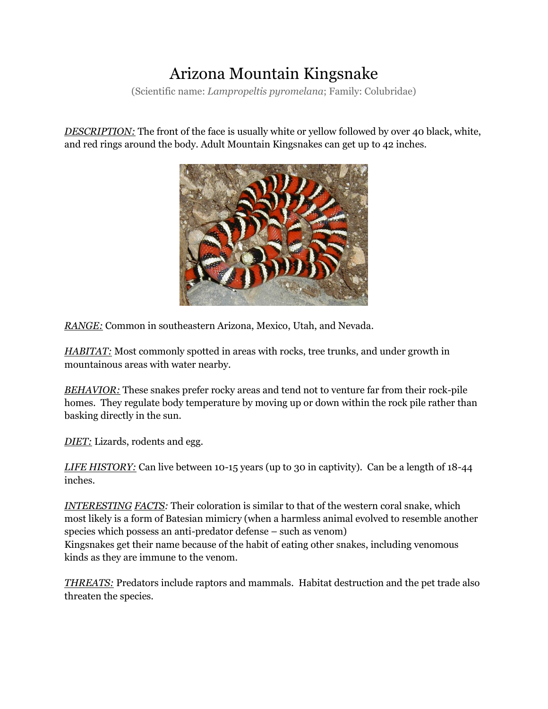# Arizona Mountain Kingsnake

(Scientific name: *Lampropeltis pyromelana*; Family: Colubridae)

*DESCRIPTION:* The front of the face is usually white or yellow followed by over 40 black, white, and red rings around the body. Adult Mountain Kingsnakes can get up to 42 inches.



*RANGE:* Common in southeastern Arizona, Mexico, Utah, and Nevada.

*HABITAT:* Most commonly spotted in areas with rocks, tree trunks, and under growth in mountainous areas with water nearby.

*BEHAVIOR:* These snakes prefer rocky areas and tend not to venture far from their rock-pile homes. They regulate body temperature by moving up or down within the rock pile rather than basking directly in the sun.

*DIET:* Lizards, rodents and egg.

*LIFE HISTORY:* Can live between 10-15 years (up to 30 in captivity). Can be a length of 18-44 inches.

*INTERESTING FACTS:* Their coloration is similar to that of the western coral snake, which most likely is a form of Batesian mimicry (when a harmless animal evolved to resemble another species which possess an anti-predator defense – such as venom) Kingsnakes get their name because of the habit of eating other snakes, including venomous kinds as they are immune to the venom.

*THREATS:* Predators include raptors and mammals. Habitat destruction and the pet trade also threaten the species.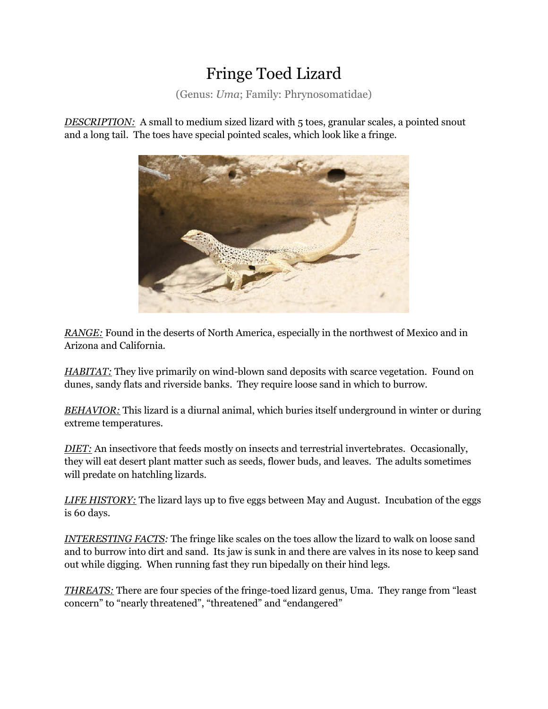## Fringe Toed Lizard

(Genus: *Uma*; Family: Phrynosomatidae)

*DESCRIPTION:* A small to medium sized lizard with 5 toes, granular scales, a pointed snout and a long tail. The toes have special pointed scales, which look like a fringe.



*RANGE:* Found in the deserts of North America, especially in the northwest of Mexico and in Arizona and California.

*HABITAT:* They live primarily on wind-blown sand deposits with scarce vegetation. Found on dunes, sandy flats and riverside banks. They require loose sand in which to burrow.

*BEHAVIOR:* This lizard is a diurnal animal, which buries itself underground in winter or during extreme temperatures.

*DIET:* An insectivore that feeds mostly on insects and terrestrial invertebrates. Occasionally, they will eat desert plant matter such as seeds, flower buds, and leaves. The adults sometimes will predate on hatchling lizards.

*LIFE HISTORY:* The lizard lays up to five eggs between May and August. Incubation of the eggs is 60 days.

*INTERESTING FACTS:* The fringe like scales on the toes allow the lizard to walk on loose sand and to burrow into dirt and sand. Its jaw is sunk in and there are valves in its nose to keep sand out while digging. When running fast they run bipedally on their hind legs.

*THREATS:* There are four species of the fringe-toed lizard genus, Uma. They range from "least concern" to "nearly threatened", "threatened" and "endangered"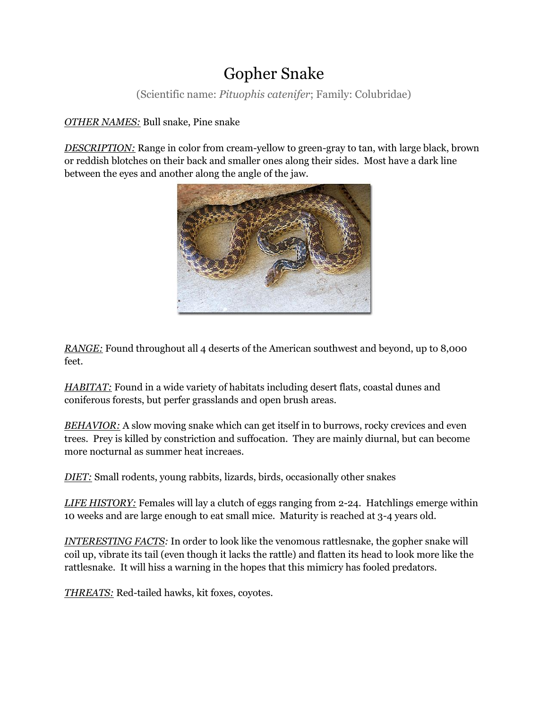## Gopher Snake

(Scientific name: *Pituophis catenifer*; Family: Colubridae)

### *OTHER NAMES:* Bull snake, Pine snake

*DESCRIPTION:* Range in color from cream-yellow to green-gray to tan, with large black, brown or reddish blotches on their back and smaller ones along their sides. Most have a dark line between the eyes and another along the angle of the jaw.



*RANGE:* Found throughout all 4 deserts of the American southwest and beyond, up to 8,000 feet.

*HABITAT:* Found in a wide variety of habitats including desert flats, coastal dunes and coniferous forests, but perfer grasslands and open brush areas.

*BEHAVIOR:* A slow moving snake which can get itself in to burrows, rocky crevices and even trees. Prey is killed by constriction and suffocation. They are mainly diurnal, but can become more nocturnal as summer heat increaes.

*DIET:* Small rodents, young rabbits, lizards, birds, occasionally other snakes

*LIFE HISTORY:* Females will lay a clutch of eggs ranging from 2-24. Hatchlings emerge within 10 weeks and are large enough to eat small mice. Maturity is reached at 3-4 years old.

*INTERESTING FACTS:* In order to look like the venomous rattlesnake, the gopher snake will coil up, vibrate its tail (even though it lacks the rattle) and flatten its head to look more like the rattlesnake. It will hiss a warning in the hopes that this mimicry has fooled predators.

*THREATS:* Red-tailed hawks, kit foxes, coyotes.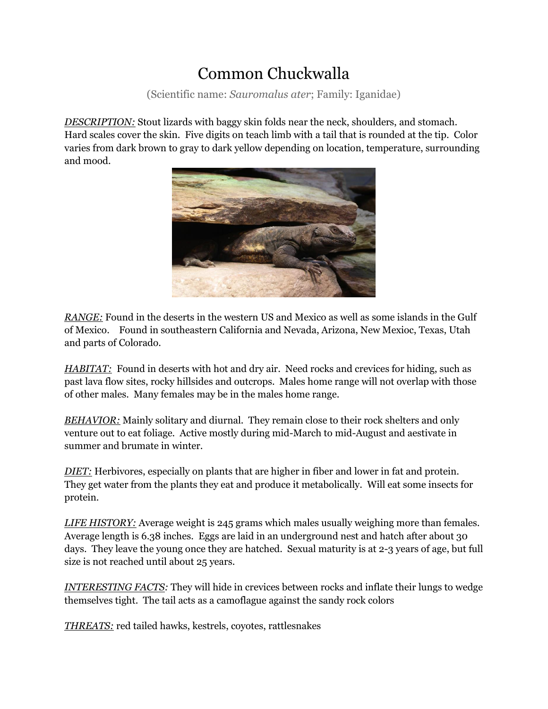## Common Chuckwalla

(Scientific name: *Sauromalus ater*; Family: Iganidae)

*DESCRIPTION:* Stout lizards with baggy skin folds near the neck, shoulders, and stomach. Hard scales cover the skin. Five digits on teach limb with a tail that is rounded at the tip. Color varies from dark brown to gray to dark yellow depending on location, temperature, surrounding and mood.



*RANGE:* Found in the deserts in the western US and Mexico as well as some islands in the Gulf of Mexico. Found in southeastern California and Nevada, Arizona, New Mexioc, Texas, Utah and parts of Colorado.

*HABITAT:* Found in deserts with hot and dry air. Need rocks and crevices for hiding, such as past lava flow sites, rocky hillsides and outcrops. Males home range will not overlap with those of other males. Many females may be in the males home range.

*BEHAVIOR:* Mainly solitary and diurnal. They remain close to their rock shelters and only venture out to eat foliage. Active mostly during mid-March to mid-August and aestivate in summer and brumate in winter.

*DIET:* Herbivores, especially on plants that are higher in fiber and lower in fat and protein. They get water from the plants they eat and produce it metabolically. Will eat some insects for protein.

*LIFE HISTORY:* Average weight is 245 grams which males usually weighing more than females. Average length is 6.38 inches. Eggs are laid in an underground nest and hatch after about 30 days. They leave the young once they are hatched. Sexual maturity is at 2-3 years of age, but full size is not reached until about 25 years.

*INTERESTING FACTS:* They will hide in crevices between rocks and inflate their lungs to wedge themselves tight. The tail acts as a camoflague against the sandy rock colors

*THREATS:* red tailed hawks, kestrels, coyotes, rattlesnakes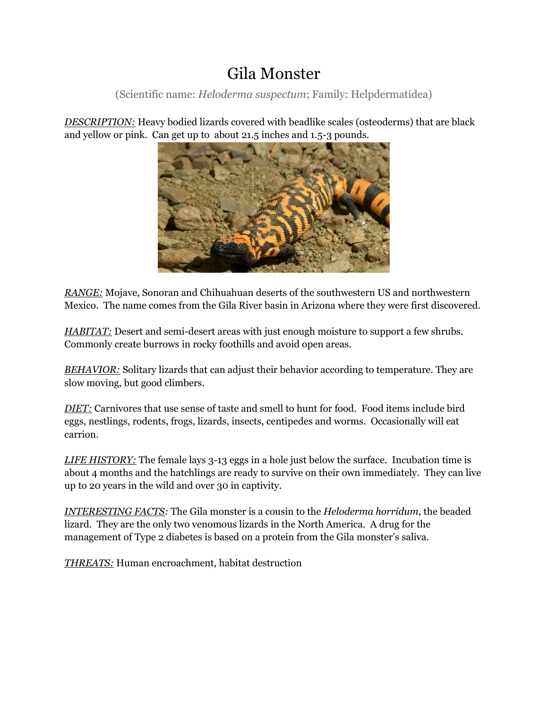### Gila Monster

(Scientific name: *Heloderma suspectum*; Family: Helpdermatidea)

*DESCRIPTION:* Heavy bodied lizards covered with beadlike scales (osteoderms) that are black and yellow or pink. Can get up to about 21.5 inches and 1.5-3 pounds.



*RANGE:* Mojave, Sonoran and Chihuahuan deserts of the southwestern US and northwestern Mexico. The name comes from the Gila River basin in Arizona where they were first discovered.

*HABITAT*: Desert and semi-desert areas with just enough moisture to support a few shrubs. Commonly create burrows in rocky foothills and avoid open areas.

*BEHAVIOR:* Solitary lizards that can adjust their behavior according to temperature. They are slow moving, but good climbers.

*DIET:* Carnivores that use sense of taste and smell to hunt for food. Food items include bird eggs, nestlings, rodents, frogs, lizards, insects, centipedes and worms. Occasionally will eat carrion.

*LIFE HISTORY:* The female lays 3-13 eggs in a hole just below the surface. Incubation time is about 4 months and the hatchlings are ready to survive on their own immediately. They can live up to 20 years in the wild and over 30 in captivity.

*INTERESTING FACTS:* The Gila monster is a cousin to the *Heloderma horridum*, the beaded lizard. They are the only two venomous lizards in the North America. A drug for the management of Type 2 diabetes is based on a protein from the Gila monster's saliva.

*THREATS:* Human encroachment, habitat destruction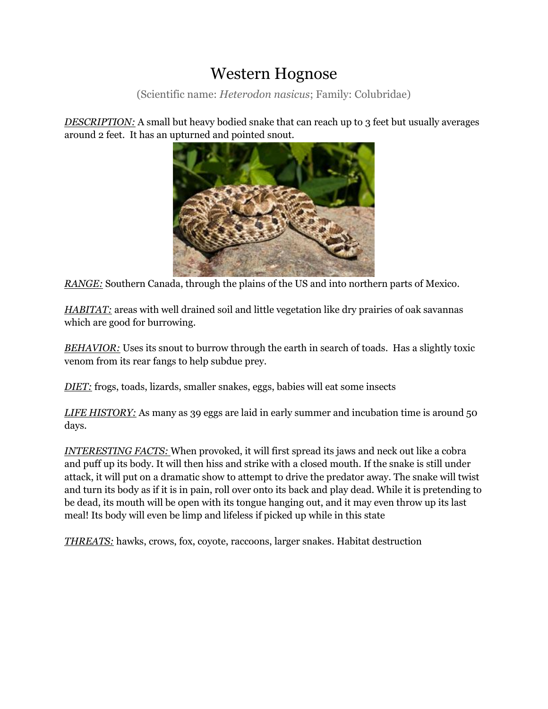### Western Hognose

(Scientific name: *Heterodon nasicus*; Family: Colubridae)

**DESCRIPTION:** A small but heavy bodied snake that can reach up to 3 feet but usually averages around 2 feet. It has an upturned and pointed snout.



*RANGE:* Southern Canada, through the plains of the US and into northern parts of Mexico.

*HABITAT:* areas with well drained soil and little vegetation like dry prairies of oak savannas which are good for burrowing.

*BEHAVIOR:* Uses its snout to burrow through the earth in search of toads. Has a slightly toxic venom from its rear fangs to help subdue prey.

*DIET:* frogs, toads, lizards, smaller snakes, eggs, babies will eat some insects

*LIFE HISTORY:* As many as 39 eggs are laid in early summer and incubation time is around 50 days.

*INTERESTING FACTS:* When provoked, it will first spread its jaws and neck out like a cobra and puff up its body. It will then hiss and strike with a closed mouth. If the snake is still under attack, it will put on a dramatic show to attempt to drive the predator away. The snake will twist and turn its body as if it is in pain, roll over onto its back and play dead. While it is pretending to be dead, its mouth will be open with its tongue hanging out, and it may even throw up its last meal! Its body will even be limp and lifeless if picked up while in this state

*THREATS:* hawks, crows, fox, coyote, raccoons, larger snakes. Habitat destruction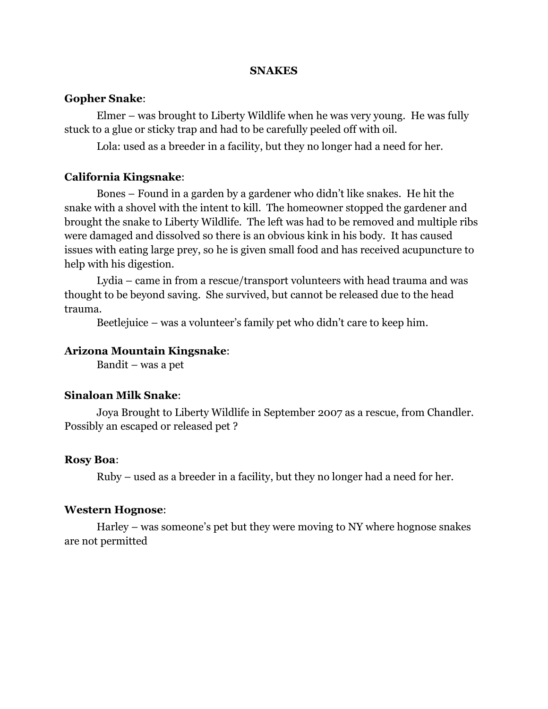#### **SNAKES**

#### **Gopher Snake**:

Elmer – was brought to Liberty Wildlife when he was very young. He was fully stuck to a glue or sticky trap and had to be carefully peeled off with oil.

Lola: used as a breeder in a facility, but they no longer had a need for her.

#### **California Kingsnake**:

Bones – Found in a garden by a gardener who didn't like snakes. He hit the snake with a shovel with the intent to kill. The homeowner stopped the gardener and brought the snake to Liberty Wildlife. The left was had to be removed and multiple ribs were damaged and dissolved so there is an obvious kink in his body. It has caused issues with eating large prey, so he is given small food and has received acupuncture to help with his digestion.

Lydia – came in from a rescue/transport volunteers with head trauma and was thought to be beyond saving. She survived, but cannot be released due to the head trauma.

Beetlejuice – was a volunteer's family pet who didn't care to keep him.

#### **Arizona Mountain Kingsnake**:

Bandit – was a pet

#### **Sinaloan Milk Snake**:

Joya Brought to Liberty Wildlife in September 2007 as a rescue, from Chandler. Possibly an escaped or released pet ?

#### **Rosy Boa**:

Ruby – used as a breeder in a facility, but they no longer had a need for her.

#### **Western Hognose**:

Harley – was someone's pet but they were moving to NY where hognose snakes are not permitted